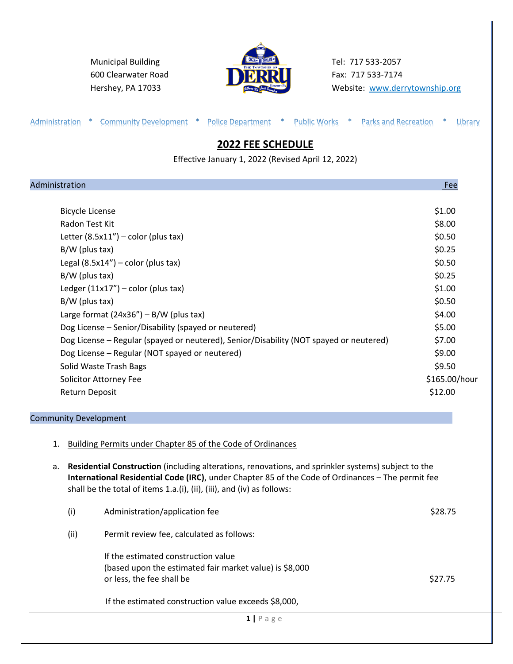Municipal Building **Tel: 717 533-2057** 600 Clearwater Road **Fax: 717 533-7174** 



Hershey, PA 17033 **Website:** [www.derrytownship.org](http://www.derrytownship.org/)

| Effective January 1, 2022 (Revised April 12, 2022)                                     |               |
|----------------------------------------------------------------------------------------|---------------|
| Administration                                                                         | Fee           |
| <b>Bicycle License</b>                                                                 | \$1.00        |
| Radon Test Kit                                                                         | \$8.00        |
| Letter $(8.5x11'')$ - color (plus tax)                                                 | \$0.50        |
| $B/W$ (plus tax)                                                                       | \$0.25        |
| Legal $(8.5x14'')$ – color (plus tax)                                                  | \$0.50        |
| B/W (plus tax)                                                                         | \$0.25        |
| Ledger $(11x17'')$ – color (plus tax)                                                  | \$1.00        |
| B/W (plus tax)                                                                         | \$0.50        |
| Large format $(24x36'') - B/W$ (plus tax)                                              | \$4.00        |
| Dog License - Senior/Disability (spayed or neutered)                                   | \$5.00        |
| Dog License - Regular (spayed or neutered), Senior/Disability (NOT spayed or neutered) | \$7.00        |
| Dog License - Regular (NOT spayed or neutered)                                         | \$9.00        |
| Solid Waste Trash Bags                                                                 | \$9.50        |
| Solicitor Attorney Fee                                                                 | \$165.00/hour |
| Return Deposit                                                                         | \$12.00       |
| <b>Community Development</b>                                                           |               |

a. **Residential Construction** (including alterations, renovations, and sprinkler systems) subject to the **International Residential Code (IRC)**, under Chapter 85 of the Code of Ordinances – The permit fee shall be the total of items 1.a.(i), (ii), (iii), and (iv) as follows:

|      | $1$   Page                                                                                                                  |         |
|------|-----------------------------------------------------------------------------------------------------------------------------|---------|
|      | If the estimated construction value exceeds \$8,000,                                                                        |         |
|      | If the estimated construction value<br>(based upon the estimated fair market value) is \$8,000<br>or less, the fee shall be | \$27.75 |
| (ii) | Permit review fee, calculated as follows:                                                                                   |         |
| (i)  | Administration/application fee                                                                                              | \$28.75 |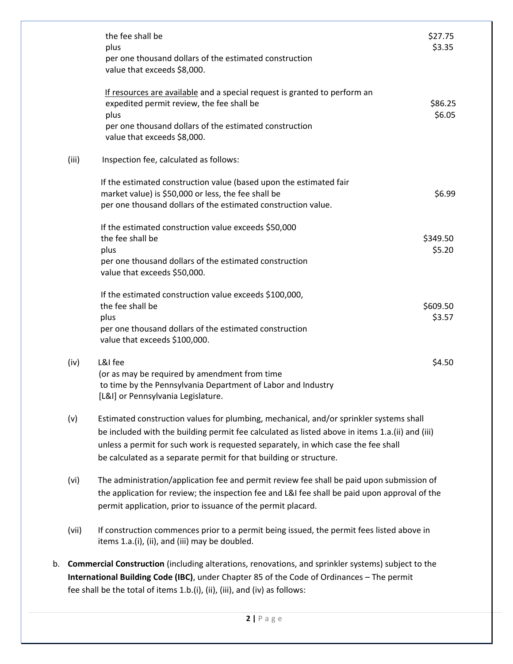|    |       | the fee shall be<br>plus<br>per one thousand dollars of the estimated construction<br>value that exceeds \$8,000.                                                                                                                                                                                                                                     | \$27.75<br>\$3.35  |
|----|-------|-------------------------------------------------------------------------------------------------------------------------------------------------------------------------------------------------------------------------------------------------------------------------------------------------------------------------------------------------------|--------------------|
|    |       | If resources are available and a special request is granted to perform an<br>expedited permit review, the fee shall be<br>plus<br>per one thousand dollars of the estimated construction                                                                                                                                                              | \$86.25<br>\$6.05  |
|    |       | value that exceeds \$8,000.                                                                                                                                                                                                                                                                                                                           |                    |
|    | (iii) | Inspection fee, calculated as follows:                                                                                                                                                                                                                                                                                                                |                    |
|    |       | If the estimated construction value (based upon the estimated fair<br>market value) is \$50,000 or less, the fee shall be<br>per one thousand dollars of the estimated construction value.                                                                                                                                                            | \$6.99             |
|    |       | If the estimated construction value exceeds \$50,000<br>the fee shall be<br>plus                                                                                                                                                                                                                                                                      | \$349.50<br>\$5.20 |
|    |       | per one thousand dollars of the estimated construction<br>value that exceeds \$50,000.                                                                                                                                                                                                                                                                |                    |
|    |       | If the estimated construction value exceeds \$100,000,<br>the fee shall be<br>plus<br>per one thousand dollars of the estimated construction<br>value that exceeds \$100,000.                                                                                                                                                                         | \$609.50<br>\$3.57 |
|    | (iv)  | L&I fee<br>(or as may be required by amendment from time<br>to time by the Pennsylvania Department of Labor and Industry<br>[L&I] or Pennsylvania Legislature.                                                                                                                                                                                        | \$4.50             |
|    | (v)   | Estimated construction values for plumbing, mechanical, and/or sprinkler systems shall<br>be included with the building permit fee calculated as listed above in items 1.a.(ii) and (iii)<br>unless a permit for such work is requested separately, in which case the fee shall<br>be calculated as a separate permit for that building or structure. |                    |
|    | (vi)  | The administration/application fee and permit review fee shall be paid upon submission of<br>the application for review; the inspection fee and L&I fee shall be paid upon approval of the<br>permit application, prior to issuance of the permit placard.                                                                                            |                    |
|    | (vii) | If construction commences prior to a permit being issued, the permit fees listed above in<br>items 1.a.(i), (ii), and (iii) may be doubled.                                                                                                                                                                                                           |                    |
| b. |       | <b>Commercial Construction</b> (including alterations, renovations, and sprinkler systems) subject to the<br>International Building Code (IBC), under Chapter 85 of the Code of Ordinances - The permit                                                                                                                                               |                    |

fee shall be the total of items 1.b.(i), (ii), (iii), and (iv) as follows: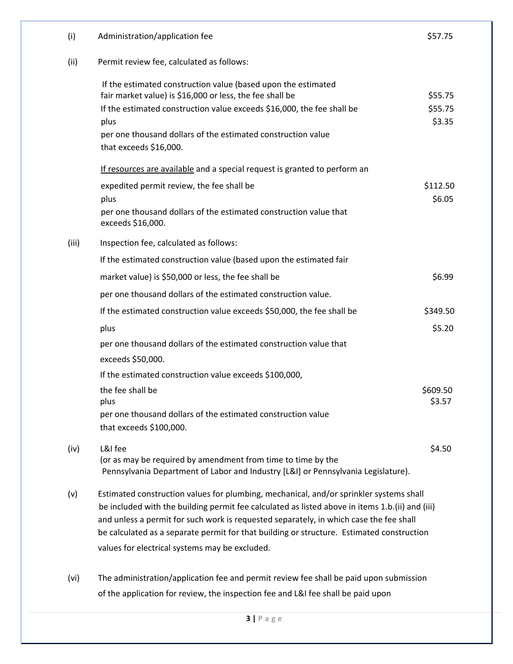| (i)   | Administration/application fee                                                                                                                                                                                                                                                                                                                                                                                                     | \$57.75                      |
|-------|------------------------------------------------------------------------------------------------------------------------------------------------------------------------------------------------------------------------------------------------------------------------------------------------------------------------------------------------------------------------------------------------------------------------------------|------------------------------|
| (ii)  | Permit review fee, calculated as follows:                                                                                                                                                                                                                                                                                                                                                                                          |                              |
|       | If the estimated construction value (based upon the estimated<br>fair market value) is \$16,000 or less, the fee shall be<br>If the estimated construction value exceeds \$16,000, the fee shall be<br>plus<br>per one thousand dollars of the estimated construction value<br>that exceeds $$16,000$ .                                                                                                                            | \$55.75<br>\$55.75<br>\$3.35 |
|       | If resources are available and a special request is granted to perform an                                                                                                                                                                                                                                                                                                                                                          |                              |
|       | expedited permit review, the fee shall be<br>plus<br>per one thousand dollars of the estimated construction value that<br>exceeds \$16,000.                                                                                                                                                                                                                                                                                        | \$112.50<br>\$6.05           |
| (iii) | Inspection fee, calculated as follows:                                                                                                                                                                                                                                                                                                                                                                                             |                              |
|       | If the estimated construction value (based upon the estimated fair                                                                                                                                                                                                                                                                                                                                                                 |                              |
|       | market value) is \$50,000 or less, the fee shall be                                                                                                                                                                                                                                                                                                                                                                                | \$6.99                       |
|       | per one thousand dollars of the estimated construction value.                                                                                                                                                                                                                                                                                                                                                                      |                              |
|       | If the estimated construction value exceeds \$50,000, the fee shall be                                                                                                                                                                                                                                                                                                                                                             | \$349.50                     |
|       | plus                                                                                                                                                                                                                                                                                                                                                                                                                               | \$5.20                       |
|       | per one thousand dollars of the estimated construction value that<br>exceeds \$50,000.                                                                                                                                                                                                                                                                                                                                             |                              |
|       | If the estimated construction value exceeds \$100,000,                                                                                                                                                                                                                                                                                                                                                                             |                              |
|       | the fee shall be<br>plus<br>per one thousand dollars of the estimated construction value<br>that exceeds \$100,000.                                                                                                                                                                                                                                                                                                                | \$609.50<br>\$3.57           |
| (iv)  | L&I fee<br>(or as may be required by amendment from time to time by the<br>Pennsylvania Department of Labor and Industry [L&I] or Pennsylvania Legislature).                                                                                                                                                                                                                                                                       | \$4.50                       |
| (v)   | Estimated construction values for plumbing, mechanical, and/or sprinkler systems shall<br>be included with the building permit fee calculated as listed above in items 1.b.(ii) and (iii)<br>and unless a permit for such work is requested separately, in which case the fee shall<br>be calculated as a separate permit for that building or structure. Estimated construction<br>values for electrical systems may be excluded. |                              |
| (vi)  | The administration/application fee and permit review fee shall be paid upon submission<br>of the application for review, the inspection fee and L&I fee shall be paid upon                                                                                                                                                                                                                                                         |                              |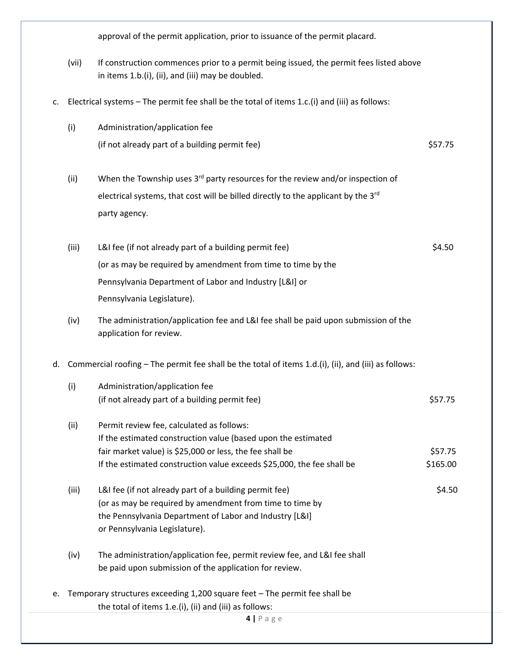approval of the permit application, prior to issuance of the permit placard. (vii) If construction commences prior to a permit being issued, the permit fees listed above in items 1.b.(i), (ii), and (iii) may be doubled. c. Electrical systems – The permit fee shall be the total of items 1.c.(i) and (iii) as follows: (i) Administration/application fee (if not already part of a building permit fee)  $$57.75$ (ii) When the Township uses  $3<sup>rd</sup>$  party resources for the review and/or inspection of electrical systems, that cost will be billed directly to the applicant by the 3<sup>rd</sup> party agency. (iii) L&I fee (if not already part of a building permit fee)  $\lessgtr 4.50$ (or as may be required by amendment from time to time by the Pennsylvania Department of Labor and Industry [L&I] or Pennsylvania Legislature). (iv) The administration/application fee and L&I fee shall be paid upon submission of the application for review. d. Commercial roofing – The permit fee shall be the total of items 1.d.(i), (ii), and (iii) as follows: (i) Administration/application fee (if not already part of a building permit fee)  $$57.75$ (ii) Permit review fee, calculated as follows: If the estimated construction value (based upon the estimated fair market value) is \$25,000 or less, the fee shall be \$57.75 If the estimated construction value exceeds  $$25,000$ , the fee shall be  $$165.00$ (iii) L&I fee (if not already part of a building permit fee)  $\lessgtr$  50 (or as may be required by amendment from time to time by the Pennsylvania Department of Labor and Industry [L&I] or Pennsylvania Legislature). (iv) The administration/application fee, permit review fee, and L&I fee shall be paid upon submission of the application for review. e. Temporary structures exceeding 1,200 square feet – The permit fee shall be the total of items 1.e.(i), (ii) and (iii) as follows: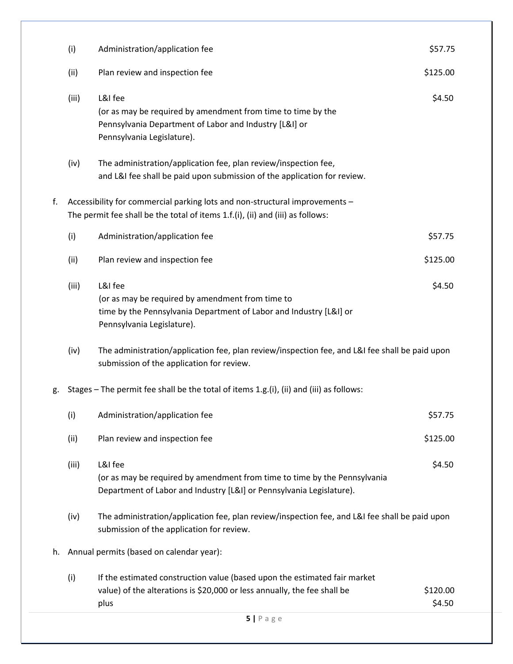|    | (i)   | Administration/application fee                                                                                                                                  | \$57.75            |  |
|----|-------|-----------------------------------------------------------------------------------------------------------------------------------------------------------------|--------------------|--|
|    | (ii)  | Plan review and inspection fee                                                                                                                                  | \$125.00           |  |
|    | (iii) | L&I fee<br>(or as may be required by amendment from time to time by the<br>Pennsylvania Department of Labor and Industry [L&I] or<br>Pennsylvania Legislature). | \$4.50             |  |
|    | (iv)  | The administration/application fee, plan review/inspection fee,<br>and L&I fee shall be paid upon submission of the application for review.                     |                    |  |
| f. |       | Accessibility for commercial parking lots and non-structural improvements -<br>The permit fee shall be the total of items 1.f.(i), (ii) and (iii) as follows:   |                    |  |
|    | (i)   | Administration/application fee                                                                                                                                  | \$57.75            |  |
|    | (ii)  | Plan review and inspection fee                                                                                                                                  | \$125.00           |  |
|    | (iii) | L&I fee<br>(or as may be required by amendment from time to<br>time by the Pennsylvania Department of Labor and Industry [L&I] or<br>Pennsylvania Legislature). | \$4.50             |  |
|    | (iv)  | The administration/application fee, plan review/inspection fee, and L&I fee shall be paid upon<br>submission of the application for review.                     |                    |  |
| g. |       | Stages - The permit fee shall be the total of items 1.g.(i), (ii) and (iii) as follows:                                                                         |                    |  |
|    | (i)   | Administration/application fee                                                                                                                                  | \$57.75            |  |
|    | (ii)  | Plan review and inspection fee                                                                                                                                  | \$125.00           |  |
|    | (iii) | L&I fee<br>(or as may be required by amendment from time to time by the Pennsylvania<br>Department of Labor and Industry [L&I] or Pennsylvania Legislature).    | \$4.50             |  |
|    | (iv)  | The administration/application fee, plan review/inspection fee, and L&I fee shall be paid upon<br>submission of the application for review.                     |                    |  |
| h. |       | Annual permits (based on calendar year):                                                                                                                        |                    |  |
|    | (i)   | If the estimated construction value (based upon the estimated fair market<br>value) of the alterations is \$20,000 or less annually, the fee shall be<br>plus   | \$120.00<br>\$4.50 |  |
|    |       | $5$   Page                                                                                                                                                      |                    |  |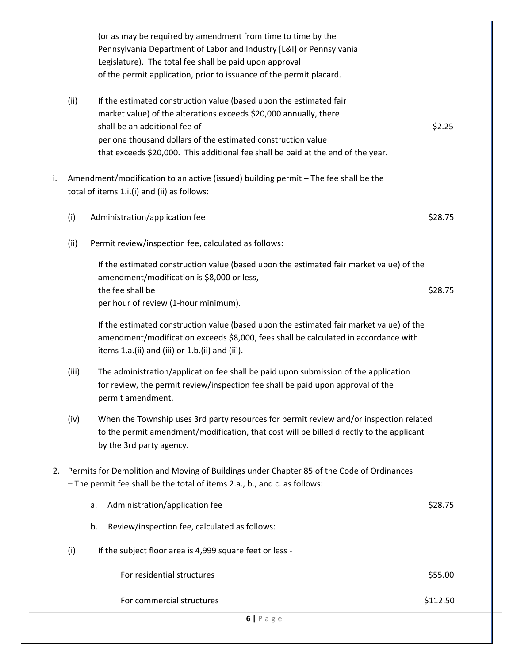|    |       | $6$   Page                                                                                                                                                                                                                        |          |
|----|-------|-----------------------------------------------------------------------------------------------------------------------------------------------------------------------------------------------------------------------------------|----------|
|    |       | For commercial structures                                                                                                                                                                                                         | \$112.50 |
|    |       | For residential structures                                                                                                                                                                                                        | \$55.00  |
|    | (i)   | If the subject floor area is 4,999 square feet or less -                                                                                                                                                                          |          |
|    |       | b.<br>Review/inspection fee, calculated as follows:                                                                                                                                                                               |          |
|    |       | Administration/application fee<br>a.                                                                                                                                                                                              | \$28.75  |
|    |       | - The permit fee shall be the total of items 2.a., b., and c. as follows:                                                                                                                                                         |          |
| 2. |       | Permits for Demolition and Moving of Buildings under Chapter 85 of the Code of Ordinances                                                                                                                                         |          |
|    |       | to the permit amendment/modification, that cost will be billed directly to the applicant<br>by the 3rd party agency.                                                                                                              |          |
|    | (iv)  | When the Township uses 3rd party resources for permit review and/or inspection related                                                                                                                                            |          |
|    |       | for review, the permit review/inspection fee shall be paid upon approval of the<br>permit amendment.                                                                                                                              |          |
|    | (iii) | The administration/application fee shall be paid upon submission of the application                                                                                                                                               |          |
|    |       | If the estimated construction value (based upon the estimated fair market value) of the<br>amendment/modification exceeds \$8,000, fees shall be calculated in accordance with<br>items 1.a.(ii) and (iii) or 1.b.(ii) and (iii). |          |
|    |       | per hour of review (1-hour minimum).                                                                                                                                                                                              |          |
|    |       | amendment/modification is \$8,000 or less,<br>the fee shall be                                                                                                                                                                    | \$28.75  |
|    |       | If the estimated construction value (based upon the estimated fair market value) of the                                                                                                                                           |          |
|    | (ii)  | Permit review/inspection fee, calculated as follows:                                                                                                                                                                              |          |
|    | (i)   | Administration/application fee                                                                                                                                                                                                    | \$28.75  |
| i. |       | Amendment/modification to an active (issued) building permit - The fee shall be the<br>total of items 1.i.(i) and (ii) as follows:                                                                                                |          |
|    |       | that exceeds \$20,000. This additional fee shall be paid at the end of the year.                                                                                                                                                  |          |
|    |       | per one thousand dollars of the estimated construction value                                                                                                                                                                      | \$2.25   |
|    |       | market value) of the alterations exceeds \$20,000 annually, there<br>shall be an additional fee of                                                                                                                                |          |
|    | (ii)  | If the estimated construction value (based upon the estimated fair                                                                                                                                                                |          |
|    |       | of the permit application, prior to issuance of the permit placard.                                                                                                                                                               |          |
|    |       | Pennsylvania Department of Labor and Industry [L&I] or Pennsylvania<br>Legislature). The total fee shall be paid upon approval                                                                                                    |          |
|    |       | (or as may be required by amendment from time to time by the                                                                                                                                                                      |          |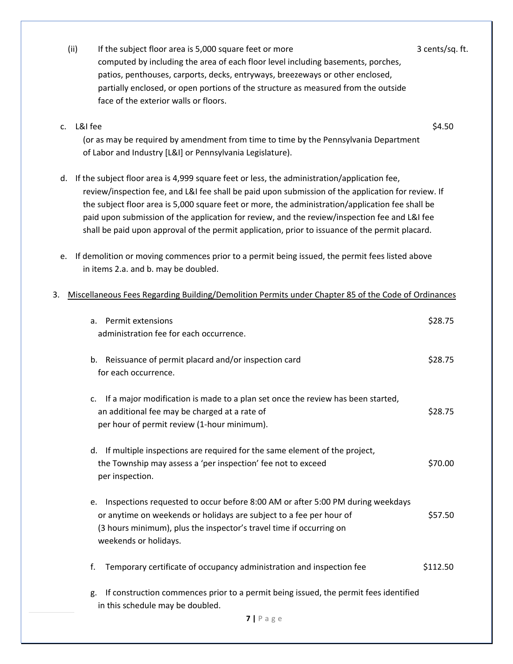|                | (ii)<br>If the subject floor area is 5,000 square feet or more<br>computed by including the area of each floor level including basements, porches,<br>patios, penthouses, carports, decks, entryways, breezeways or other enclosed,<br>partially enclosed, or open portions of the structure as measured from the outside<br>face of the exterior walls or floors.                                                                                                                                           | 3 cents/sq. ft. |
|----------------|--------------------------------------------------------------------------------------------------------------------------------------------------------------------------------------------------------------------------------------------------------------------------------------------------------------------------------------------------------------------------------------------------------------------------------------------------------------------------------------------------------------|-----------------|
| $\mathsf{C}$ . | L&I fee<br>(or as may be required by amendment from time to time by the Pennsylvania Department<br>of Labor and Industry [L&I] or Pennsylvania Legislature).                                                                                                                                                                                                                                                                                                                                                 | \$4.50          |
|                | d. If the subject floor area is 4,999 square feet or less, the administration/application fee,<br>review/inspection fee, and L&I fee shall be paid upon submission of the application for review. If<br>the subject floor area is 5,000 square feet or more, the administration/application fee shall be<br>paid upon submission of the application for review, and the review/inspection fee and L&I fee<br>shall be paid upon approval of the permit application, prior to issuance of the permit placard. |                 |
| e.             | If demolition or moving commences prior to a permit being issued, the permit fees listed above<br>in items 2.a. and b. may be doubled.                                                                                                                                                                                                                                                                                                                                                                       |                 |
| 3.             | Miscellaneous Fees Regarding Building/Demolition Permits under Chapter 85 of the Code of Ordinances                                                                                                                                                                                                                                                                                                                                                                                                          |                 |
|                | a. Permit extensions<br>administration fee for each occurrence.                                                                                                                                                                                                                                                                                                                                                                                                                                              | \$28.75         |
|                | Reissuance of permit placard and/or inspection card<br>b.<br>for each occurrence.                                                                                                                                                                                                                                                                                                                                                                                                                            | \$28.75         |
|                | If a major modification is made to a plan set once the review has been started,<br>c.<br>an additional fee may be charged at a rate of<br>per hour of permit review (1-hour minimum).                                                                                                                                                                                                                                                                                                                        | \$28.75         |
|                | d. If multiple inspections are required for the same element of the project,<br>the Township may assess a 'per inspection' fee not to exceed<br>per inspection.                                                                                                                                                                                                                                                                                                                                              | \$70.00         |
|                | Inspections requested to occur before 8:00 AM or after 5:00 PM during weekdays<br>е.<br>or anytime on weekends or holidays are subject to a fee per hour of<br>(3 hours minimum), plus the inspector's travel time if occurring on<br>weekends or holidays.                                                                                                                                                                                                                                                  | \$57.50         |
|                | Temporary certificate of occupancy administration and inspection fee<br>f.                                                                                                                                                                                                                                                                                                                                                                                                                                   | \$112.50        |
|                | If construction commences prior to a permit being issued, the permit fees identified<br>g.                                                                                                                                                                                                                                                                                                                                                                                                                   |                 |

in this schedule may be doubled.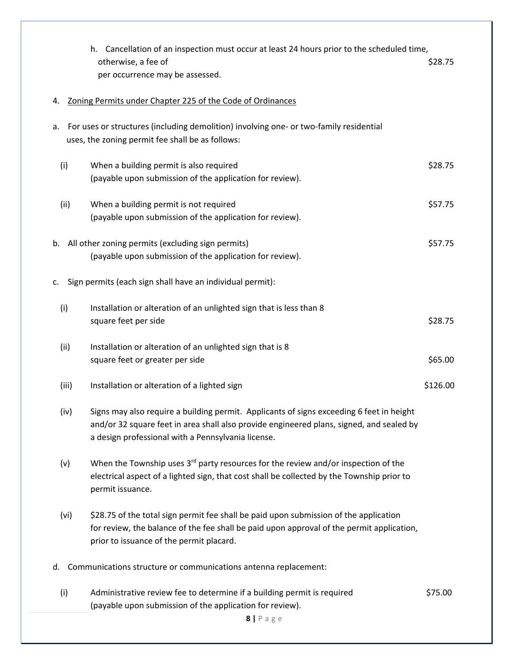|       | Cancellation of an inspection must occur at least 24 hours prior to the scheduled time,<br>h.<br>otherwise, a fee of<br>per occurrence may be assessed.                                                                                    | \$28.75  |
|-------|--------------------------------------------------------------------------------------------------------------------------------------------------------------------------------------------------------------------------------------------|----------|
| 4.    | Zoning Permits under Chapter 225 of the Code of Ordinances                                                                                                                                                                                 |          |
| а.    | For uses or structures (including demolition) involving one- or two-family residential<br>uses, the zoning permit fee shall be as follows:                                                                                                 |          |
| (i)   | When a building permit is also required<br>(payable upon submission of the application for review).                                                                                                                                        | \$28.75  |
| (ii)  | When a building permit is not required<br>(payable upon submission of the application for review).                                                                                                                                         | \$57.75  |
| b.    | All other zoning permits (excluding sign permits)<br>(payable upon submission of the application for review).                                                                                                                              | \$57.75  |
| c.    | Sign permits (each sign shall have an individual permit):                                                                                                                                                                                  |          |
| (i)   | Installation or alteration of an unlighted sign that is less than 8<br>square feet per side                                                                                                                                                | \$28.75  |
| (ii)  | Installation or alteration of an unlighted sign that is 8<br>square feet or greater per side                                                                                                                                               | \$65.00  |
| (iii) | Installation or alteration of a lighted sign                                                                                                                                                                                               | \$126.00 |
| (iv)  | Signs may also require a building permit. Applicants of signs exceeding 6 feet in height<br>and/or 32 square feet in area shall also provide engineered plans, signed, and sealed by<br>a design professional with a Pennsylvania license. |          |
| (v)   | When the Township uses 3 <sup>rd</sup> party resources for the review and/or inspection of the<br>electrical aspect of a lighted sign, that cost shall be collected by the Township prior to<br>permit issuance.                           |          |
| (vi)  | \$28.75 of the total sign permit fee shall be paid upon submission of the application<br>for review, the balance of the fee shall be paid upon approval of the permit application,<br>prior to issuance of the permit placard.             |          |
| d.    | Communications structure or communications antenna replacement:                                                                                                                                                                            |          |
| (i)   | Administrative review fee to determine if a building permit is required<br>(payable upon submission of the application for review).<br>8   P a g e                                                                                         | \$75.00  |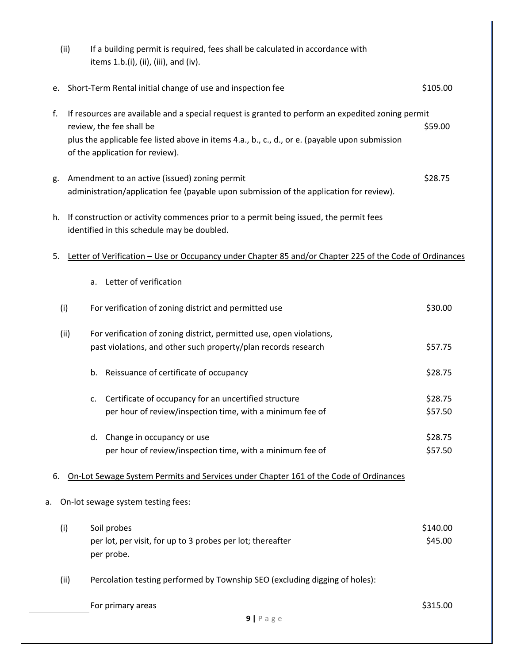|    | (ii) | If a building permit is required, fees shall be calculated in accordance with<br>items 1.b.(i), (ii), (iii), and (iv).                                                                                                                                             |                     |
|----|------|--------------------------------------------------------------------------------------------------------------------------------------------------------------------------------------------------------------------------------------------------------------------|---------------------|
| e. |      | Short-Term Rental initial change of use and inspection fee                                                                                                                                                                                                         | \$105.00            |
| f. |      | If resources are available and a special request is granted to perform an expedited zoning permit<br>review, the fee shall be<br>plus the applicable fee listed above in items 4.a., b., c., d., or e. (payable upon submission<br>of the application for review). | \$59.00             |
| g. |      | Amendment to an active (issued) zoning permit<br>administration/application fee (payable upon submission of the application for review).                                                                                                                           | \$28.75             |
| h. |      | If construction or activity commences prior to a permit being issued, the permit fees<br>identified in this schedule may be doubled.                                                                                                                               |                     |
| 5. |      | Letter of Verification - Use or Occupancy under Chapter 85 and/or Chapter 225 of the Code of Ordinances                                                                                                                                                            |                     |
|    |      | Letter of verification<br>a.                                                                                                                                                                                                                                       |                     |
|    | (i)  | For verification of zoning district and permitted use                                                                                                                                                                                                              | \$30.00             |
|    | (ii) | For verification of zoning district, permitted use, open violations,<br>past violations, and other such property/plan records research                                                                                                                             | \$57.75             |
|    |      | Reissuance of certificate of occupancy<br>b.                                                                                                                                                                                                                       | \$28.75             |
|    |      | Certificate of occupancy for an uncertified structure<br>c.<br>per hour of review/inspection time, with a minimum fee of                                                                                                                                           | \$28.75<br>\$57.50  |
|    |      | Change in occupancy or use<br>d.<br>per hour of review/inspection time, with a minimum fee of                                                                                                                                                                      | \$28.75<br>\$57.50  |
| 6. |      | On-Lot Sewage System Permits and Services under Chapter 161 of the Code of Ordinances                                                                                                                                                                              |                     |
| а. |      | On-lot sewage system testing fees:                                                                                                                                                                                                                                 |                     |
|    | (i)  | Soil probes<br>per lot, per visit, for up to 3 probes per lot; thereafter<br>per probe.                                                                                                                                                                            | \$140.00<br>\$45.00 |
|    | (ii) | Percolation testing performed by Township SEO (excluding digging of holes):                                                                                                                                                                                        |                     |
|    |      | For primary areas<br>$9$   P a g e                                                                                                                                                                                                                                 | \$315.00            |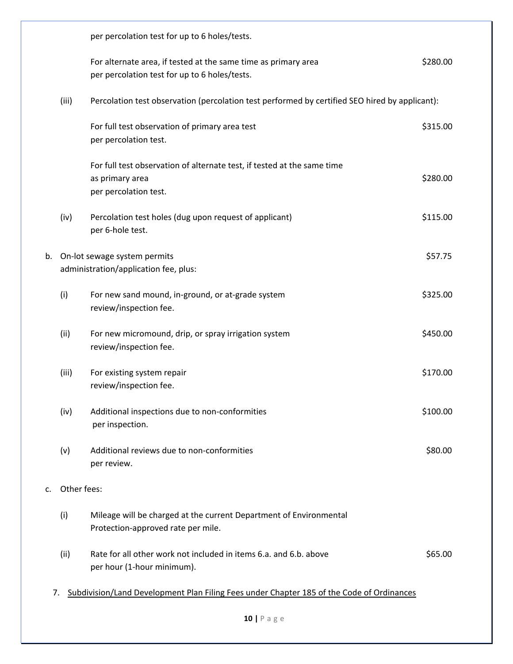|    |             | per percolation test for up to 6 holes/tests.                                                                       |          |
|----|-------------|---------------------------------------------------------------------------------------------------------------------|----------|
|    |             | For alternate area, if tested at the same time as primary area<br>per percolation test for up to 6 holes/tests.     | \$280.00 |
|    | (iii)       | Percolation test observation (percolation test performed by certified SEO hired by applicant):                      |          |
|    |             | For full test observation of primary area test<br>per percolation test.                                             | \$315.00 |
|    |             | For full test observation of alternate test, if tested at the same time<br>as primary area<br>per percolation test. | \$280.00 |
|    | (iv)        | Percolation test holes (dug upon request of applicant)<br>per 6-hole test.                                          | \$115.00 |
| b. |             | On-lot sewage system permits<br>administration/application fee, plus:                                               | \$57.75  |
|    | (i)         | For new sand mound, in-ground, or at-grade system<br>review/inspection fee.                                         | \$325.00 |
|    | (ii)        | For new micromound, drip, or spray irrigation system<br>review/inspection fee.                                      | \$450.00 |
|    | (iii)       | For existing system repair<br>review/inspection fee.                                                                | \$170.00 |
|    | (iv)        | Additional inspections due to non-conformities<br>per inspection.                                                   | \$100.00 |
|    | (v)         | Additional reviews due to non-conformities<br>per review.                                                           | \$80.00  |
| c. | Other fees: |                                                                                                                     |          |
|    | (i)         | Mileage will be charged at the current Department of Environmental<br>Protection-approved rate per mile.            |          |
|    | (ii)        | Rate for all other work not included in items 6.a. and 6.b. above<br>per hour (1-hour minimum).                     | \$65.00  |
| 7. |             | Subdivision/Land Development Plan Filing Fees under Chapter 185 of the Code of Ordinances                           |          |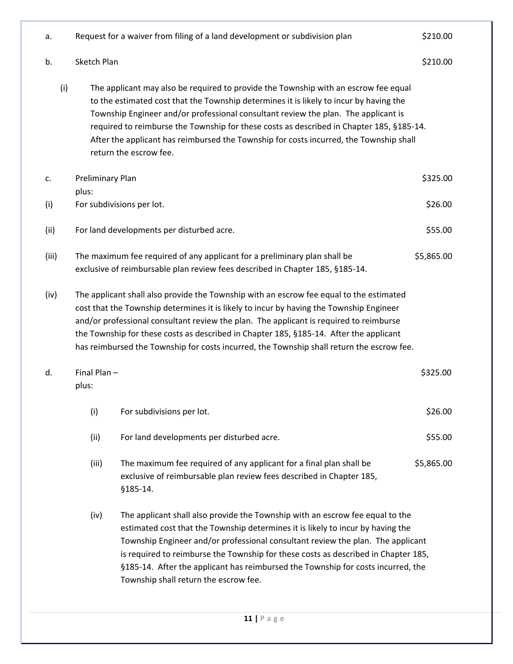| a.    |                           | Request for a waiver from filing of a land development or subdivision plan                                                                                                                                                                                                                                                                                                                                                                                                          | \$210.00   |
|-------|---------------------------|-------------------------------------------------------------------------------------------------------------------------------------------------------------------------------------------------------------------------------------------------------------------------------------------------------------------------------------------------------------------------------------------------------------------------------------------------------------------------------------|------------|
| b.    | Sketch Plan               |                                                                                                                                                                                                                                                                                                                                                                                                                                                                                     | \$210.00   |
| (i)   |                           | The applicant may also be required to provide the Township with an escrow fee equal<br>to the estimated cost that the Township determines it is likely to incur by having the<br>Township Engineer and/or professional consultant review the plan. The applicant is<br>required to reimburse the Township for these costs as described in Chapter 185, §185-14.<br>After the applicant has reimbursed the Township for costs incurred, the Township shall<br>return the escrow fee. |            |
| c.    | Preliminary Plan<br>plus: |                                                                                                                                                                                                                                                                                                                                                                                                                                                                                     | \$325.00   |
| (i)   |                           | For subdivisions per lot.                                                                                                                                                                                                                                                                                                                                                                                                                                                           | \$26.00    |
| (ii)  |                           | For land developments per disturbed acre.                                                                                                                                                                                                                                                                                                                                                                                                                                           | \$55.00    |
| (iii) |                           | The maximum fee required of any applicant for a preliminary plan shall be<br>exclusive of reimbursable plan review fees described in Chapter 185, §185-14.                                                                                                                                                                                                                                                                                                                          | \$5,865.00 |
| (iv)  |                           | The applicant shall also provide the Township with an escrow fee equal to the estimated<br>cost that the Township determines it is likely to incur by having the Township Engineer<br>and/or professional consultant review the plan. The applicant is required to reimburse<br>the Township for these costs as described in Chapter 185, §185-14. After the applicant<br>has reimbursed the Township for costs incurred, the Township shall return the escrow fee.                 |            |
| d.    | Final Plan-<br>plus:      |                                                                                                                                                                                                                                                                                                                                                                                                                                                                                     | \$325.00   |
|       | (i)                       | For subdivisions per lot.                                                                                                                                                                                                                                                                                                                                                                                                                                                           | \$26.00    |
|       | (ii)                      | For land developments per disturbed acre.                                                                                                                                                                                                                                                                                                                                                                                                                                           | \$55.00    |
|       | (iii)                     | The maximum fee required of any applicant for a final plan shall be<br>exclusive of reimbursable plan review fees described in Chapter 185,<br>§185-14.                                                                                                                                                                                                                                                                                                                             | \$5,865.00 |
|       | (iv)                      | The applicant shall also provide the Township with an escrow fee equal to the<br>estimated cost that the Township determines it is likely to incur by having the<br>Township Engineer and/or professional consultant review the plan. The applicant<br>is required to reimburse the Township for these costs as described in Chapter 185,<br>§185-14. After the applicant has reimbursed the Township for costs incurred, the<br>Township shall return the escrow fee.              |            |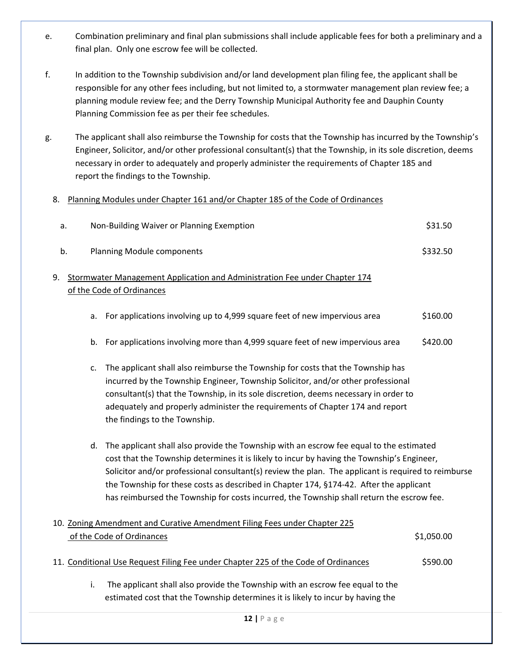- e. Combination preliminary and final plan submissions shall include applicable fees for both a preliminary and a final plan. Only one escrow fee will be collected.
- f. In addition to the Township subdivision and/or land development plan filing fee, the applicant shall be responsible for any other fees including, but not limited to, a stormwater management plan review fee; a planning module review fee; and the Derry Township Municipal Authority fee and Dauphin County Planning Commission fee as per their fee schedules.
- g. The applicant shall also reimburse the Township for costs that the Township has incurred by the Township's Engineer, Solicitor, and/or other professional consultant(s) that the Township, in its sole discretion, deems necessary in order to adequately and properly administer the requirements of Chapter 185 and report the findings to the Township.

#### 8. Planning Modules under Chapter 161 and/or Chapter 185 of the Code of Ordinances

| a. |    | Non-Building Waiver or Planning Exemption                                                                                                                                                                                                                                                                                                                                                                                                                                           | \$31.50    |
|----|----|-------------------------------------------------------------------------------------------------------------------------------------------------------------------------------------------------------------------------------------------------------------------------------------------------------------------------------------------------------------------------------------------------------------------------------------------------------------------------------------|------------|
|    | b. | <b>Planning Module components</b>                                                                                                                                                                                                                                                                                                                                                                                                                                                   | \$332.50   |
| 9. |    | Stormwater Management Application and Administration Fee under Chapter 174                                                                                                                                                                                                                                                                                                                                                                                                          |            |
|    |    | of the Code of Ordinances                                                                                                                                                                                                                                                                                                                                                                                                                                                           |            |
|    | a. | For applications involving up to 4,999 square feet of new impervious area                                                                                                                                                                                                                                                                                                                                                                                                           | \$160.00   |
|    | b. | For applications involving more than 4,999 square feet of new impervious area                                                                                                                                                                                                                                                                                                                                                                                                       | \$420.00   |
|    | c. | The applicant shall also reimburse the Township for costs that the Township has<br>incurred by the Township Engineer, Township Solicitor, and/or other professional<br>consultant(s) that the Township, in its sole discretion, deems necessary in order to<br>adequately and properly administer the requirements of Chapter 174 and report<br>the findings to the Township.                                                                                                       |            |
|    | d. | The applicant shall also provide the Township with an escrow fee equal to the estimated<br>cost that the Township determines it is likely to incur by having the Township's Engineer,<br>Solicitor and/or professional consultant(s) review the plan. The applicant is required to reimburse<br>the Township for these costs as described in Chapter 174, §174-42. After the applicant<br>has reimbursed the Township for costs incurred, the Township shall return the escrow fee. |            |
|    |    | 10. Zoning Amendment and Curative Amendment Filing Fees under Chapter 225<br>of the Code of Ordinances                                                                                                                                                                                                                                                                                                                                                                              | \$1,050.00 |
|    |    | 11. Conditional Use Request Filing Fee under Chapter 225 of the Code of Ordinances                                                                                                                                                                                                                                                                                                                                                                                                  | \$590.00   |
|    |    |                                                                                                                                                                                                                                                                                                                                                                                                                                                                                     |            |

i. The applicant shall also provide the Township with an escrow fee equal to the estimated cost that the Township determines it is likely to incur by having the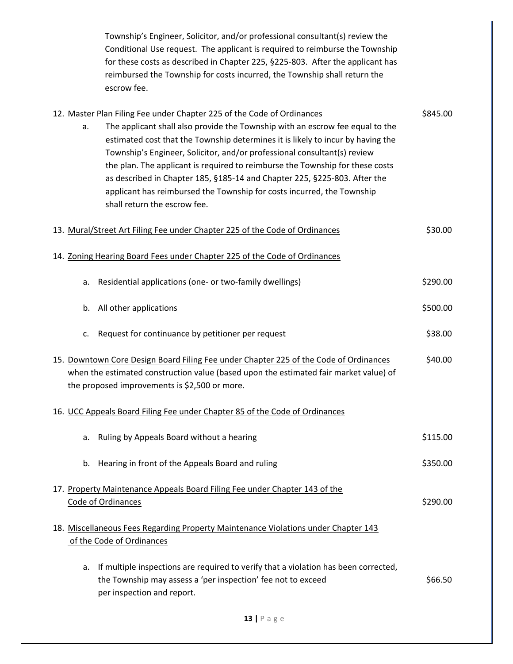Township's Engineer, Solicitor, and/or professional consultant(s) review the Conditional Use request. The applicant is required to reimburse the Township for these costs as described in Chapter 225, §225-803. After the applicant has reimbursed the Township for costs incurred, the Township shall return the escrow fee.

|    | 12. Master Plan Filing Fee under Chapter 225 of the Code of Ordinances                | \$845.00 |
|----|---------------------------------------------------------------------------------------|----------|
| a. | The applicant shall also provide the Township with an escrow fee equal to the         |          |
|    | estimated cost that the Township determines it is likely to incur by having the       |          |
|    | Township's Engineer, Solicitor, and/or professional consultant(s) review              |          |
|    | the plan. The applicant is required to reimburse the Township for these costs         |          |
|    | as described in Chapter 185, §185-14 and Chapter 225, §225-803. After the             |          |
|    | applicant has reimbursed the Township for costs incurred, the Township                |          |
|    | shall return the escrow fee.                                                          |          |
|    |                                                                                       |          |
|    | 13. Mural/Street Art Filing Fee under Chapter 225 of the Code of Ordinances           | \$30.00  |
|    | 14. Zoning Hearing Board Fees under Chapter 225 of the Code of Ordinances             |          |
| a. | Residential applications (one- or two-family dwellings)                               | \$290.00 |
| b. | All other applications                                                                | \$500.00 |
| c. | Request for continuance by petitioner per request                                     | \$38.00  |
|    | 15. Downtown Core Design Board Filing Fee under Chapter 225 of the Code of Ordinances | \$40.00  |
|    | when the estimated construction value (based upon the estimated fair market value) of |          |
|    | the proposed improvements is \$2,500 or more.                                         |          |
|    |                                                                                       |          |
|    | 16. UCC Appeals Board Filing Fee under Chapter 85 of the Code of Ordinances           |          |
|    |                                                                                       |          |
| a. | Ruling by Appeals Board without a hearing                                             | \$115.00 |
|    |                                                                                       |          |
| b. | Hearing in front of the Appeals Board and ruling                                      | \$350.00 |
|    |                                                                                       |          |
|    | 17. Property Maintenance Appeals Board Filing Fee under Chapter 143 of the            |          |
|    | Code of Ordinances                                                                    | \$290.00 |
|    |                                                                                       |          |
|    | 18. Miscellaneous Fees Regarding Property Maintenance Violations under Chapter 143    |          |
|    | of the Code of Ordinances                                                             |          |
|    |                                                                                       |          |
| а. | If multiple inspections are required to verify that a violation has been corrected,   |          |
|    | the Township may assess a 'per inspection' fee not to exceed                          | \$66.50  |
|    | per inspection and report.                                                            |          |
|    |                                                                                       |          |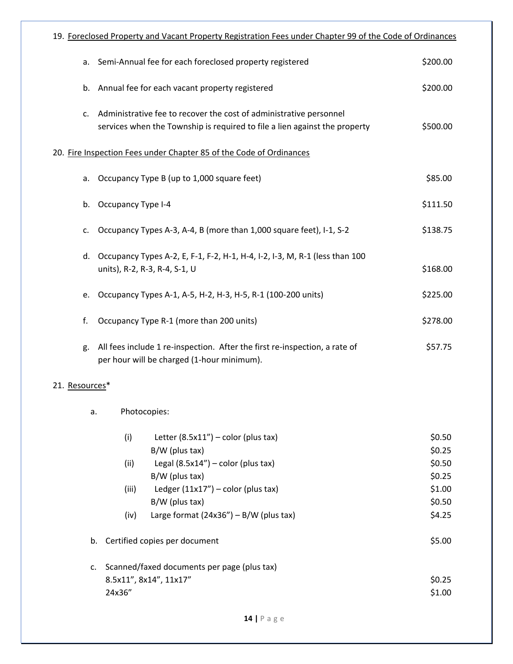|                | 19. Foreclosed Property and Vacant Property Registration Fees under Chapter 99 of the Code of Ordinances                                                                                                                                                    |                                                                    |
|----------------|-------------------------------------------------------------------------------------------------------------------------------------------------------------------------------------------------------------------------------------------------------------|--------------------------------------------------------------------|
| a.             | Semi-Annual fee for each foreclosed property registered                                                                                                                                                                                                     | \$200.00                                                           |
| b.             | Annual fee for each vacant property registered                                                                                                                                                                                                              | \$200.00                                                           |
| c.             | Administrative fee to recover the cost of administrative personnel<br>services when the Township is required to file a lien against the property                                                                                                            | \$500.00                                                           |
|                | 20. Fire Inspection Fees under Chapter 85 of the Code of Ordinances                                                                                                                                                                                         |                                                                    |
| a.             | Occupancy Type B (up to 1,000 square feet)                                                                                                                                                                                                                  | \$85.00                                                            |
| b.             | <b>Occupancy Type I-4</b>                                                                                                                                                                                                                                   | \$111.50                                                           |
| c.             | Occupancy Types A-3, A-4, B (more than 1,000 square feet), I-1, S-2                                                                                                                                                                                         | \$138.75                                                           |
| d.             | Occupancy Types A-2, E, F-1, F-2, H-1, H-4, I-2, I-3, M, R-1 (less than 100<br>units), R-2, R-3, R-4, S-1, U                                                                                                                                                | \$168.00                                                           |
| e.             | Occupancy Types A-1, A-5, H-2, H-3, H-5, R-1 (100-200 units)                                                                                                                                                                                                | \$225.00                                                           |
| f.             | Occupancy Type R-1 (more than 200 units)                                                                                                                                                                                                                    | \$278.00                                                           |
| g.             | All fees include 1 re-inspection. After the first re-inspection, a rate of<br>per hour will be charged (1-hour minimum).                                                                                                                                    | \$57.75                                                            |
| 21. Resources* |                                                                                                                                                                                                                                                             |                                                                    |
|                | Photocopies:<br>a.                                                                                                                                                                                                                                          |                                                                    |
|                | (i)<br>Letter $(8.5x11'')$ – color (plus tax)<br>B/W (plus tax)<br>(ii)<br>Legal $(8.5x14'')$ – color (plus tax)<br>B/W (plus tax)<br>Ledger $(11x17'')$ – color (plus tax)<br>(iii)<br>B/W (plus tax)<br>Large format $(24x36'') - B/W$ (plus tax)<br>(iv) | \$0.50<br>\$0.25<br>\$0.50<br>\$0.25<br>\$1.00<br>\$0.50<br>\$4.25 |
|                | Certified copies per document<br>b.                                                                                                                                                                                                                         | \$5.00                                                             |
|                | Scanned/faxed documents per page (plus tax)<br>c.<br>8.5x11", 8x14", 11x17"<br>24x36"                                                                                                                                                                       | \$0.25<br>\$1.00                                                   |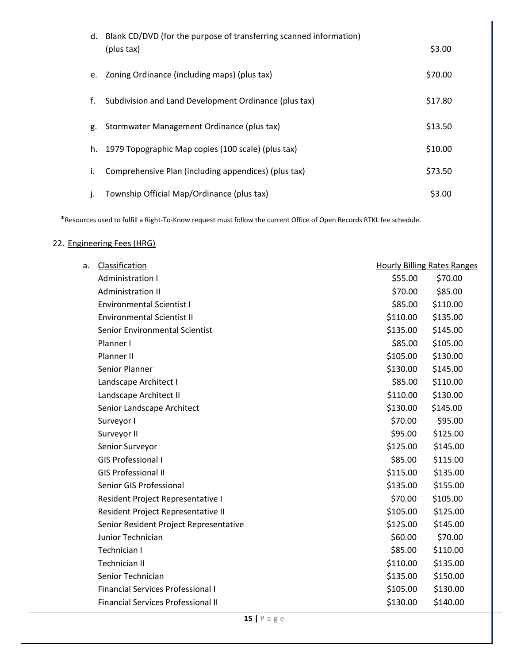| d.           | Blank CD/DVD (for the purpose of transferring scanned information)<br>(plus tax) | \$3.00  |
|--------------|----------------------------------------------------------------------------------|---------|
| e.           | Zoning Ordinance (including maps) (plus tax)                                     | \$70.00 |
| f.           | Subdivision and Land Development Ordinance (plus tax)                            | \$17.80 |
| g.           | Stormwater Management Ordinance (plus tax)                                       | \$13.50 |
| h.           | 1979 Topographic Map copies (100 scale) (plus tax)                               | \$10.00 |
| i.           | Comprehensive Plan (including appendices) (plus tax)                             | \$73.50 |
| $\mathbf{I}$ | Township Official Map/Ordinance (plus tax)                                       | \$3.00  |

\*Resources used to fulfill a Right-To-Know request must follow the current Office of Open Records RTKL fee schedule.

## 22. Engineering Fees (HRG)

| a. | Classification                            |          | <b>Hourly Billing Rates Ranges</b> |
|----|-------------------------------------------|----------|------------------------------------|
|    | Administration I                          | \$55.00  | \$70.00                            |
|    | <b>Administration II</b>                  | \$70.00  | \$85.00                            |
|    | <b>Environmental Scientist I</b>          | \$85.00  | \$110.00                           |
|    | <b>Environmental Scientist II</b>         | \$110.00 | \$135.00                           |
|    | Senior Environmental Scientist            | \$135.00 | \$145.00                           |
|    | Planner I                                 | \$85.00  | \$105.00                           |
|    | Planner II                                | \$105.00 | \$130.00                           |
|    | Senior Planner                            | \$130.00 | \$145.00                           |
|    | Landscape Architect I                     | \$85.00  | \$110.00                           |
|    | Landscape Architect II                    | \$110.00 | \$130.00                           |
|    | Senior Landscape Architect                | \$130.00 | \$145.00                           |
|    | Surveyor I                                | \$70.00  | \$95.00                            |
|    | Surveyor II                               | \$95.00  | \$125.00                           |
|    | Senior Surveyor                           | \$125.00 | \$145.00                           |
|    | <b>GIS Professional I</b>                 | \$85.00  | \$115.00                           |
|    | <b>GIS Professional II</b>                | \$115.00 | \$135.00                           |
|    | Senior GIS Professional                   | \$135.00 | \$155.00                           |
|    | Resident Project Representative I         | \$70.00  | \$105.00                           |
|    | Resident Project Representative II        | \$105.00 | \$125.00                           |
|    | Senior Resident Project Representative    | \$125.00 | \$145.00                           |
|    | Junior Technician                         | \$60.00  | \$70.00                            |
|    | Technician I                              | \$85.00  | \$110.00                           |
|    | <b>Technician II</b>                      | \$110.00 | \$135.00                           |
|    | Senior Technician                         | \$135.00 | \$150.00                           |
|    | <b>Financial Services Professional I</b>  | \$105.00 | \$130.00                           |
|    | <b>Financial Services Professional II</b> | \$130.00 | \$140.00                           |
|    |                                           |          |                                    |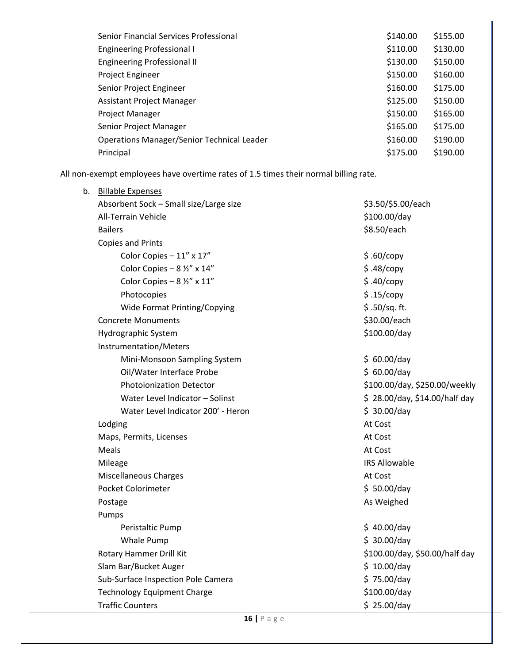| \$140.00 | \$155.00 |
|----------|----------|
| \$110.00 | \$130.00 |
| \$130.00 | \$150.00 |
| \$150.00 | \$160.00 |
| \$160.00 | \$175.00 |
| \$125.00 | \$150.00 |
| \$150.00 | \$165.00 |
| \$165.00 | \$175.00 |
| \$160.00 | \$190.00 |
| \$175.00 | \$190.00 |
|          |          |

All non-exempt employees have overtime rates of 1.5 times their normal billing rate.

| $16$   Page                            |                                |
|----------------------------------------|--------------------------------|
| <b>Traffic Counters</b>                | \$25.00/day                    |
| <b>Technology Equipment Charge</b>     | \$100.00/day                   |
| Sub-Surface Inspection Pole Camera     | \$75.00/day                    |
| Slam Bar/Bucket Auger                  | \$10.00/day                    |
| Rotary Hammer Drill Kit                | \$100.00/day, \$50.00/half day |
| Whale Pump                             | \$30.00/day                    |
| Peristaltic Pump                       | \$40.00/day                    |
| Pumps                                  |                                |
| Postage                                | As Weighed                     |
| Pocket Colorimeter                     | \$50.00/day                    |
| <b>Miscellaneous Charges</b>           | At Cost                        |
| Mileage                                | <b>IRS Allowable</b>           |
| Meals                                  | At Cost                        |
| Maps, Permits, Licenses                | At Cost                        |
| Lodging                                | At Cost                        |
| Water Level Indicator 200' - Heron     | \$30.00/day                    |
| Water Level Indicator - Solinst        | \$28.00/day, \$14.00/half day  |
| <b>Photoionization Detector</b>        | \$100.00/day, \$250.00/weekly  |
| Oil/Water Interface Probe              | \$60.00/day                    |
| Mini-Monsoon Sampling System           | \$60.00/day                    |
| Instrumentation/Meters                 |                                |
| Hydrographic System                    | \$100.00/day                   |
| <b>Concrete Monuments</b>              | \$30.00/each                   |
| Wide Format Printing/Copying           | $$.50/sq.$ ft.                 |
| Photocopies                            | \$.15/copy                     |
| Color Copies - $8\frac{1}{2}$ " x 11"  | \$.40/copy                     |
| Color Copies - $8\frac{1}{2}$ " x 14"  | \$.48/copy                     |
| Color Copies - 11" x 17"               | \$.60/copy                     |
| Copies and Prints                      |                                |
| <b>Bailers</b>                         | \$8.50/each                    |
| <b>All-Terrain Vehicle</b>             | \$100.00/day                   |
| Absorbent Sock - Small size/Large size | \$3.50/\$5.00/each             |
| b. Billable Expenses                   |                                |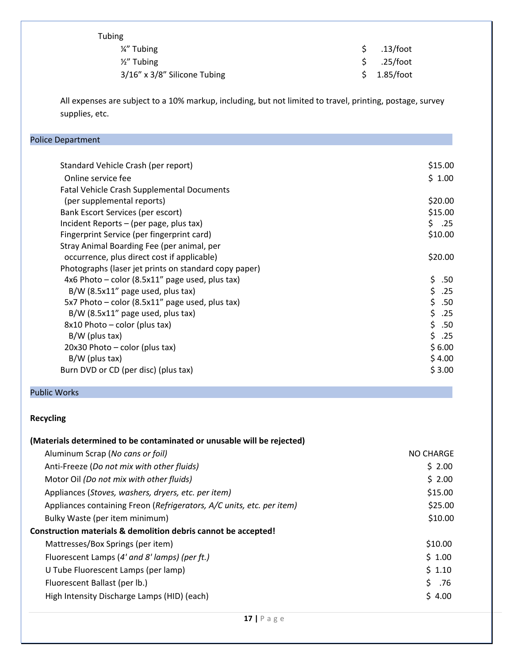|  | bin | u |
|--|-----|---|
|--|-----|---|

| 1/ <sub>4</sub> " Tubing     | \$.13/foot  |
|------------------------------|-------------|
| $\frac{1}{2}$ " Tubing       | \$.25/foot  |
| 3/16" x 3/8" Silicone Tubing | \$1.85/foot |

All expenses are subject to a 10% markup, including, but not limited to travel, printing, postage, survey supplies, etc.

| <b>Police Department</b>                              |            |
|-------------------------------------------------------|------------|
|                                                       |            |
| Standard Vehicle Crash (per report)                   | \$15.00    |
| Online service fee                                    | \$1.00     |
| <b>Fatal Vehicle Crash Supplemental Documents</b>     |            |
| (per supplemental reports)                            | \$20.00    |
| Bank Escort Services (per escort)                     | \$15.00    |
| Incident Reports – (per page, plus tax)               | \$.<br>.25 |
| Fingerprint Service (per fingerprint card)            | \$10.00    |
| Stray Animal Boarding Fee (per animal, per            |            |
| occurrence, plus direct cost if applicable)           | \$20.00    |
| Photographs (laser jet prints on standard copy paper) |            |
| 4x6 Photo – color (8.5x11" page used, plus tax)       | \$<br>.50  |
| $B/W$ (8.5x11" page used, plus tax)                   | \$<br>.25  |
| 5x7 Photo - color (8.5x11" page used, plus tax)       | \$<br>.50  |
| B/W (8.5x11" page used, plus tax)                     | \$<br>.25  |
| $8x10$ Photo – color (plus tax)                       | \$<br>.50  |
| $B/W$ (plus tax)                                      | \$<br>.25  |
| 20x30 Photo – color (plus tax)                        | \$6.00     |
| $B/W$ (plus tax)                                      | \$4.00     |
| Burn DVD or CD (per disc) (plus tax)                  | \$3.00     |
|                                                       |            |

### Public Works

## **Recycling**

| (Materials determined to be contaminated or unusable will be rejected) |           |
|------------------------------------------------------------------------|-----------|
| Aluminum Scrap (No cans or foil)                                       | NO CHARGE |
| Anti-Freeze (Do not mix with other fluids)                             | \$2.00    |
| Motor Oil (Do not mix with other fluids)                               | \$2.00    |
| Appliances (Stoves, washers, dryers, etc. per item)                    | \$15.00   |
| Appliances containing Freon (Refrigerators, A/C units, etc. per item)  | \$25.00   |
| Bulky Waste (per item minimum)                                         | \$10.00   |
| Construction materials & demolition debris cannot be accepted!         |           |
| Mattresses/Box Springs (per item)                                      | \$10.00   |
| Fluorescent Lamps (4' and 8' lamps) (per ft.)                          | \$1.00    |
| U Tube Fluorescent Lamps (per lamp)                                    | \$1.10    |
| Fluorescent Ballast (per lb.)                                          | \$.76     |
| High Intensity Discharge Lamps (HID) (each)                            | \$4.00    |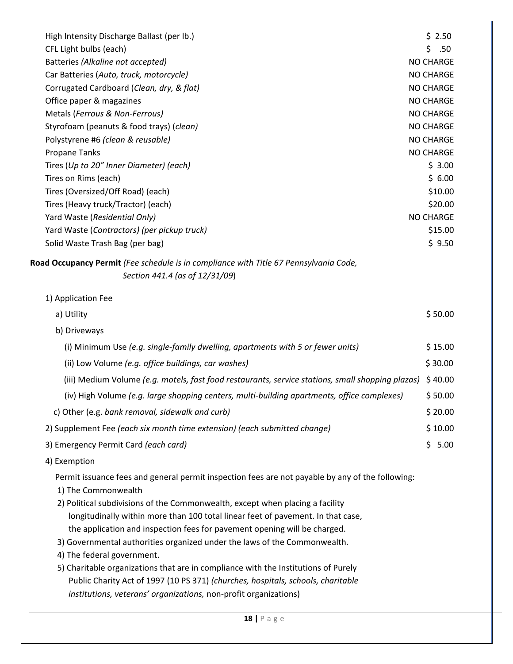| High Intensity Discharge Ballast (per lb.)                                                                              | \$2.50           |
|-------------------------------------------------------------------------------------------------------------------------|------------------|
| CFL Light bulbs (each)                                                                                                  | \$<br>.50        |
| Batteries (Alkaline not accepted)                                                                                       | NO CHARGE        |
| Car Batteries (Auto, truck, motorcycle)                                                                                 | <b>NO CHARGE</b> |
| Corrugated Cardboard (Clean, dry, & flat)                                                                               | <b>NO CHARGE</b> |
| Office paper & magazines                                                                                                | <b>NO CHARGE</b> |
| Metals (Ferrous & Non-Ferrous)                                                                                          | <b>NO CHARGE</b> |
| Styrofoam (peanuts & food trays) (clean)                                                                                | <b>NO CHARGE</b> |
| Polystyrene #6 (clean & reusable)                                                                                       | <b>NO CHARGE</b> |
| <b>Propane Tanks</b>                                                                                                    | <b>NO CHARGE</b> |
| Tires (Up to 20" Inner Diameter) (each)                                                                                 | \$3.00           |
| Tires on Rims (each)                                                                                                    | \$6.00           |
| Tires (Oversized/Off Road) (each)                                                                                       | \$10.00          |
| Tires (Heavy truck/Tractor) (each)                                                                                      | \$20.00          |
| Yard Waste (Residential Only)                                                                                           | <b>NO CHARGE</b> |
| Yard Waste (Contractors) (per pickup truck)                                                                             | \$15.00          |
| Solid Waste Trash Bag (per bag)                                                                                         | \$9.50           |
| Road Occupancy Permit (Fee schedule is in compliance with Title 67 Pennsylvania Code,<br>Section 441.4 (as of 12/31/09) |                  |
|                                                                                                                         |                  |
| 1) Application Fee                                                                                                      |                  |
| a) Utility                                                                                                              | \$50.00          |
| b) Driveways                                                                                                            |                  |
| (i) Minimum Use (e.g. single-family dwelling, apartments with 5 or fewer units)                                         | \$15.00          |
| (ii) Low Volume (e.g. office buildings, car washes)                                                                     | \$30.00          |
| (iii) Medium Volume (e.g. motels, fast food restaurants, service stations, small shopping plazas)                       | \$40.00          |
| (iv) High Volume (e.g. large shopping centers, multi-building apartments, office complexes)                             | \$50.00          |
| c) Other (e.g. bank removal, sidewalk and curb)                                                                         | \$20.00          |
| 2) Supplement Fee (each six month time extension) (each submitted change)                                               | \$10.00          |
| 3) Emergency Permit Card (each card)                                                                                    | \$5.00           |
| 4) Exemption                                                                                                            |                  |
| Permit issuance fees and general permit inspection fees are not payable by any of the following:                        |                  |
| 1) The Commonwealth                                                                                                     |                  |
| 2) Political subdivisions of the Commonwealth, except when placing a facility                                           |                  |
| longitudinally within more than 100 total linear feet of pavement. In that case,                                        |                  |
| the application and inspection fees for pavement opening will be charged.                                               |                  |
| 3) Governmental authorities organized under the laws of the Commonwealth.                                               |                  |
| 4) The federal government.                                                                                              |                  |
| 5) Charitable organizations that are in compliance with the Institutions of Purely                                      |                  |
| Public Charity Act of 1997 (10 PS 371) (churches, hospitals, schools, charitable                                        |                  |
| institutions, veterans' organizations, non-profit organizations)                                                        |                  |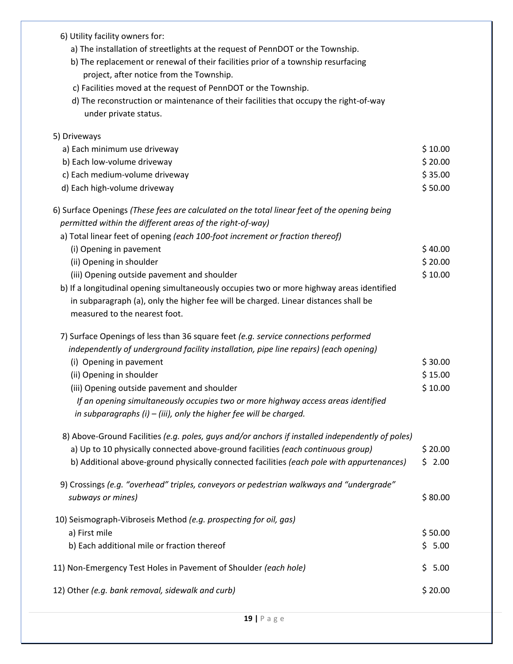| 6) Utility facility owners for:                                                                  |         |
|--------------------------------------------------------------------------------------------------|---------|
| a) The installation of streetlights at the request of PennDOT or the Township.                   |         |
| b) The replacement or renewal of their facilities prior of a township resurfacing                |         |
| project, after notice from the Township.                                                         |         |
| c) Facilities moved at the request of PennDOT or the Township.                                   |         |
| d) The reconstruction or maintenance of their facilities that occupy the right-of-way            |         |
| under private status.                                                                            |         |
| 5) Driveways                                                                                     |         |
| a) Each minimum use driveway                                                                     | \$10.00 |
| b) Each low-volume driveway                                                                      | \$20.00 |
| c) Each medium-volume driveway                                                                   | \$35.00 |
| d) Each high-volume driveway                                                                     | \$50.00 |
| 6) Surface Openings (These fees are calculated on the total linear feet of the opening being     |         |
| permitted within the different areas of the right-of-way)                                        |         |
| a) Total linear feet of opening (each 100-foot increment or fraction thereof)                    |         |
| (i) Opening in pavement                                                                          | \$40.00 |
| (ii) Opening in shoulder                                                                         | \$20.00 |
| (iii) Opening outside pavement and shoulder                                                      | \$10.00 |
| b) If a longitudinal opening simultaneously occupies two or more highway areas identified        |         |
| in subparagraph (a), only the higher fee will be charged. Linear distances shall be              |         |
| measured to the nearest foot.                                                                    |         |
| 7) Surface Openings of less than 36 square feet (e.g. service connections performed              |         |
| independently of underground facility installation, pipe line repairs) (each opening)            |         |
| (i) Opening in pavement                                                                          | \$30.00 |
| (ii) Opening in shoulder                                                                         | \$15.00 |
| (iii) Opening outside pavement and shoulder                                                      | \$10.00 |
| If an opening simultaneously occupies two or more highway access areas identified                |         |
| in subparagraphs $(i)$ – (iii), only the higher fee will be charged.                             |         |
| 8) Above-Ground Facilities (e.g. poles, guys and/or anchors if installed independently of poles) |         |
| a) Up to 10 physically connected above-ground facilities (each continuous group)                 | \$20.00 |
| b) Additional above-ground physically connected facilities (each pole with appurtenances)        | \$2.00  |
| 9) Crossings (e.g. "overhead" triples, conveyors or pedestrian walkways and "undergrade"         |         |
| subways or mines)                                                                                | \$80.00 |
| 10) Seismograph-Vibroseis Method (e.g. prospecting for oil, gas)                                 |         |
| a) First mile                                                                                    | \$50.00 |
| b) Each additional mile or fraction thereof                                                      | \$5.00  |
| 11) Non-Emergency Test Holes in Pavement of Shoulder (each hole)                                 | \$5.00  |
| 12) Other (e.g. bank removal, sidewalk and curb)                                                 | \$20.00 |
|                                                                                                  |         |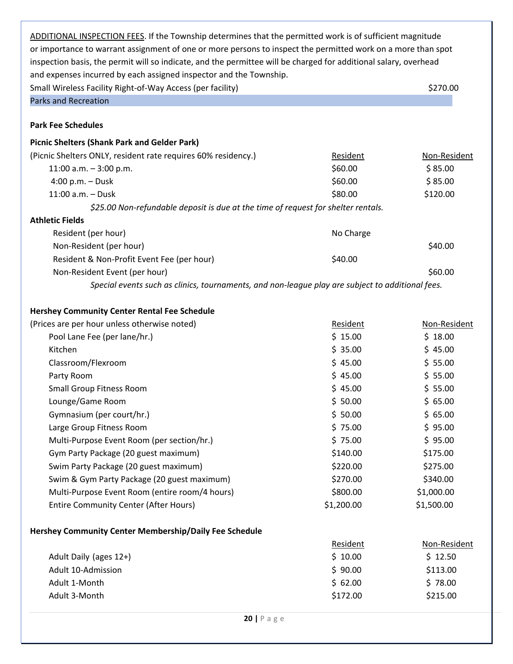| ADDITIONAL INSPECTION FEES. If the Township determines that the permitted work is of sufficient magnitude        |            |              |
|------------------------------------------------------------------------------------------------------------------|------------|--------------|
| or importance to warrant assignment of one or more persons to inspect the permitted work on a more than spot     |            |              |
| inspection basis, the permit will so indicate, and the permittee will be charged for additional salary, overhead |            |              |
| and expenses incurred by each assigned inspector and the Township.                                               |            |              |
| Small Wireless Facility Right-of-Way Access (per facility)                                                       |            | \$270.00     |
| <b>Parks and Recreation</b>                                                                                      |            |              |
|                                                                                                                  |            |              |
| <b>Park Fee Schedules</b>                                                                                        |            |              |
| <b>Picnic Shelters (Shank Park and Gelder Park)</b>                                                              |            |              |
| (Picnic Shelters ONLY, resident rate requires 60% residency.)                                                    | Resident   | Non-Resident |
| 11:00 a.m. $-3:00$ p.m.                                                                                          | \$60.00    | \$85.00      |
| 4:00 p.m. $-$ Dusk                                                                                               | \$60.00    | \$85.00      |
| 11:00 a.m. - Dusk                                                                                                | \$80.00    | \$120.00     |
| \$25.00 Non-refundable deposit is due at the time of request for shelter rentals.                                |            |              |
| <b>Athletic Fields</b>                                                                                           |            |              |
| Resident (per hour)                                                                                              | No Charge  |              |
| Non-Resident (per hour)                                                                                          |            | \$40.00      |
| Resident & Non-Profit Event Fee (per hour)                                                                       | \$40.00    |              |
| Non-Resident Event (per hour)                                                                                    |            | \$60.00      |
| Special events such as clinics, tournaments, and non-league play are subject to additional fees.                 |            |              |
|                                                                                                                  |            |              |
| <b>Hershey Community Center Rental Fee Schedule</b>                                                              |            |              |
| (Prices are per hour unless otherwise noted)                                                                     | Resident   | Non-Resident |
| Pool Lane Fee (per lane/hr.)                                                                                     | \$15.00    | \$18.00      |
| Kitchen                                                                                                          | \$35.00    | \$45.00      |
| Classroom/Flexroom                                                                                               | \$45.00    | \$55.00      |
| Party Room                                                                                                       | \$45.00    | \$55.00      |
| <b>Small Group Fitness Room</b>                                                                                  | \$45.00    | \$55.00      |
| Lounge/Game Room                                                                                                 | \$50.00    | \$65.00      |
| Gymnasium (per court/hr.)                                                                                        | \$50.00    | \$65.00      |
| Large Group Fitness Room                                                                                         | \$75.00    | \$95.00      |
| Multi-Purpose Event Room (per section/hr.)                                                                       | \$75.00    | \$95.00      |
| Gym Party Package (20 guest maximum)                                                                             | \$140.00   | \$175.00     |
| Swim Party Package (20 guest maximum)                                                                            | \$220.00   | \$275.00     |
| Swim & Gym Party Package (20 guest maximum)                                                                      | \$270.00   | \$340.00     |
| Multi-Purpose Event Room (entire room/4 hours)                                                                   | \$800.00   | \$1,000.00   |
| <b>Entire Community Center (After Hours)</b>                                                                     | \$1,200.00 | \$1,500.00   |
|                                                                                                                  |            |              |
| Hershey Community Center Membership/Daily Fee Schedule                                                           |            |              |
|                                                                                                                  | Resident   | Non-Resident |
| Adult Daily (ages 12+)                                                                                           | \$10.00    | \$12.50      |
| Adult 10-Admission                                                                                               | \$90.00    | \$113.00     |
| Adult 1-Month                                                                                                    | \$62.00    | \$78.00      |
| Adult 3-Month                                                                                                    | \$172.00   | \$215.00     |
|                                                                                                                  |            |              |
| $20$   P a g e                                                                                                   |            |              |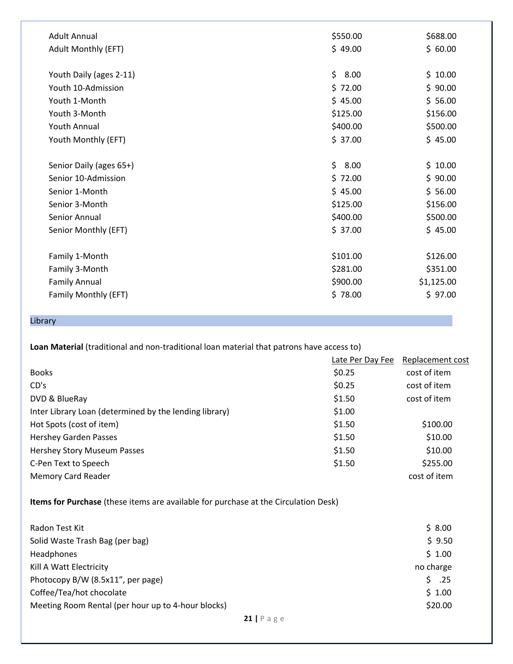| <b>Adult Annual</b>     | \$550.00   | \$688.00   |
|-------------------------|------------|------------|
| Adult Monthly (EFT)     | \$49.00    | \$60.00    |
|                         |            |            |
| Youth Daily (ages 2-11) | \$<br>8.00 | \$10.00    |
| Youth 10-Admission      | \$72.00    | \$90.00    |
| Youth 1-Month           | \$45.00    | \$56.00    |
| Youth 3-Month           | \$125.00   | \$156.00   |
| <b>Youth Annual</b>     | \$400.00   | \$500.00   |
| Youth Monthly (EFT)     | \$37.00    | \$45.00    |
|                         |            |            |
| Senior Daily (ages 65+) | \$<br>8.00 | \$10.00    |
| Senior 10-Admission     | \$72.00    | \$90.00    |
| Senior 1-Month          | \$45.00    | \$56.00    |
| Senior 3-Month          | \$125.00   | \$156.00   |
| Senior Annual           | \$400.00   | \$500.00   |
| Senior Monthly (EFT)    | \$37.00    | \$45.00    |
|                         |            |            |
| Family 1-Month          | \$101.00   | \$126.00   |
| Family 3-Month          | \$281.00   | \$351.00   |
| <b>Family Annual</b>    | \$900.00   | \$1,125.00 |
| Family Monthly (EFT)    | \$78.00    | \$97.00    |
|                         |            |            |

# Library

**Loan Material** (traditional and non-traditional loan material that patrons have access to)

|                                                        | Late Per Day Fee | Replacement cost |
|--------------------------------------------------------|------------------|------------------|
| <b>Books</b>                                           | \$0.25           | cost of item     |
| CD's                                                   | \$0.25           | cost of item     |
| DVD & BlueRay                                          | \$1.50           | cost of item     |
| Inter Library Loan (determined by the lending library) | \$1.00           |                  |
| Hot Spots (cost of item)                               | \$1.50           | \$100.00         |
| <b>Hershey Garden Passes</b>                           | \$1.50           | \$10.00          |
| Hershey Story Museum Passes                            | \$1.50           | \$10.00          |
| C-Pen Text to Speech                                   | \$1.50           | \$255.00         |
| Memory Card Reader                                     |                  | cost of item     |

**Items for Purchase** (these items are available for purchase at the Circulation Desk)

| Radon Test Kit                                     | \$8.00    |
|----------------------------------------------------|-----------|
| Solid Waste Trash Bag (per bag)                    | \$9.50    |
| <b>Headphones</b>                                  | \$1.00    |
| Kill A Watt Electricity                            | no charge |
| Photocopy B/W (8.5x11", per page)                  | .25       |
| Coffee/Tea/hot chocolate                           | \$1.00    |
| Meeting Room Rental (per hour up to 4-hour blocks) | \$20.00   |
| 21   $P$ a g e                                     |           |